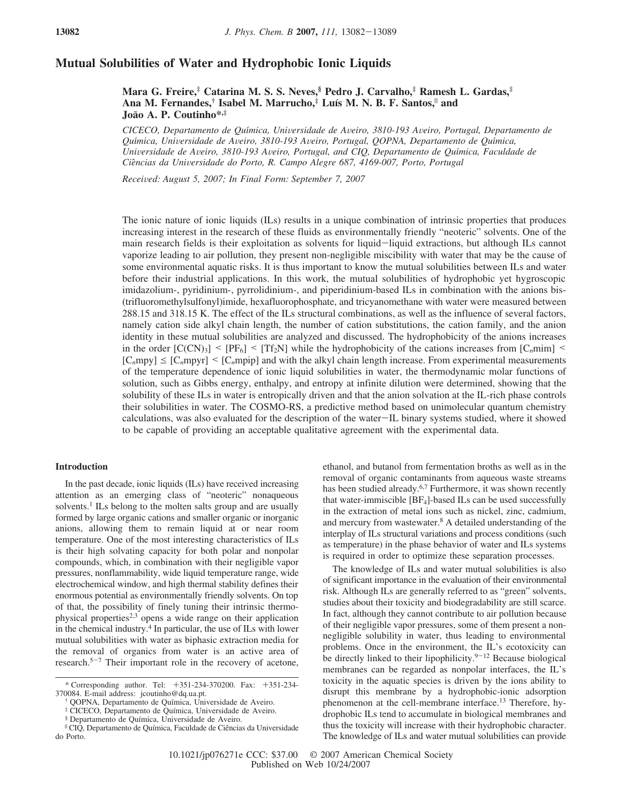# **Mutual Solubilities of Water and Hydrophobic Ionic Liquids**

# **Mara G. Freire,‡ Catarina M. S. S. Neves,§ Pedro J. Carvalho,‡ Ramesh L. Gardas,‡ Ana M. Fernandes,† Isabel M. Marrucho,‡ Luı**´**s M. N. B. F. Santos,**<sup>|</sup> **and Joa**˜**o A. P. Coutinho\*,‡**

*CICECO, Departamento de Quı*´*mica, Uni*V*ersidade de A*V*eiro, 3810-193 A*V*eiro, Portugal, Departamento de Quı*´*mica, Uni*V*ersidade de A*V*eiro, 3810-193 A*V*eiro, Portugal, QOPNA, Departamento de Quı*´*mica, Uni*V*ersidade de A*V*eiro, 3810-193 A*V*eiro, Portugal, and CIQ, Departamento de Quı*´*mica, Faculdade de Cie*ˆ*ncias da Uni*V*ersidade do Porto, R. Campo Alegre 687, 4169-007, Porto, Portugal*

*Recei*V*ed: August 5, 2007; In Final Form: September 7, 2007*

The ionic nature of ionic liquids (ILs) results in a unique combination of intrinsic properties that produces increasing interest in the research of these fluids as environmentally friendly "neoteric" solvents. One of the main research fields is their exploitation as solvents for liquid-liquid extractions, but although ILs cannot vaporize leading to air pollution, they present non-negligible miscibility with water that may be the cause of some environmental aquatic risks. It is thus important to know the mutual solubilities between ILs and water before their industrial applications. In this work, the mutual solubilities of hydrophobic yet hygroscopic imidazolium-, pyridinium-, pyrrolidinium-, and piperidinium-based ILs in combination with the anions bis- (trifluoromethylsulfonyl)imide, hexafluorophosphate, and tricyanomethane with water were measured between 288.15 and 318.15 K. The effect of the ILs structural combinations, as well as the influence of several factors, namely cation side alkyl chain length, the number of cation substitutions, the cation family, and the anion identity in these mutual solubilities are analyzed and discussed. The hydrophobicity of the anions increases in the order  $[C(CN)_3]$  <  $[PF_6]$  <  $[TF_2N]$  while the hydrophobicity of the cations increases from  $[C_nmin]$  <  $[C_nmpy] \leq [C_nmpyr] \leq [C_nmpip]$  and with the alkyl chain length increase. From experimental measurements of the temperature dependence of ionic liquid solubilities in water, the thermodynamic molar functions of solution, such as Gibbs energy, enthalpy, and entropy at infinite dilution were determined, showing that the solubility of these ILs in water is entropically driven and that the anion solvation at the IL-rich phase controls their solubilities in water. The COSMO-RS, a predictive method based on unimolecular quantum chemistry calculations, was also evaluated for the description of the water-IL binary systems studied, where it showed to be capable of providing an acceptable qualitative agreement with the experimental data.

#### **Introduction**

In the past decade, ionic liquids (ILs) have received increasing attention as an emerging class of "neoteric" nonaqueous solvents.<sup>1</sup> ILs belong to the molten salts group and are usually formed by large organic cations and smaller organic or inorganic anions, allowing them to remain liquid at or near room temperature. One of the most interesting characteristics of ILs is their high solvating capacity for both polar and nonpolar compounds, which, in combination with their negligible vapor pressures, nonflammability, wide liquid temperature range, wide electrochemical window, and high thermal stability defines their enormous potential as environmentally friendly solvents. On top of that, the possibility of finely tuning their intrinsic thermophysical properties<sup> $2,3$ </sup> opens a wide range on their application in the chemical industry.<sup>4</sup> In particular, the use of ILs with lower mutual solubilities with water as biphasic extraction media for the removal of organics from water is an active area of research. $5-7$  Their important role in the recovery of acetone,

ethanol, and butanol from fermentation broths as well as in the removal of organic contaminants from aqueous waste streams has been studied already.<sup>6,7</sup> Furthermore, it was shown recently that water-immiscible [BF4]-based ILs can be used successfully in the extraction of metal ions such as nickel, zinc, cadmium, and mercury from wastewater.<sup>8</sup> A detailed understanding of the interplay of ILs structural variations and process conditions (such as temperature) in the phase behavior of water and ILs systems is required in order to optimize these separation processes.

The knowledge of ILs and water mutual solubilities is also of significant importance in the evaluation of their environmental risk. Although ILs are generally referred to as "green" solvents, studies about their toxicity and biodegradability are still scarce. In fact, although they cannot contribute to air pollution because of their negligible vapor pressures, some of them present a nonnegligible solubility in water, thus leading to environmental problems. Once in the environment, the IL's ecotoxicity can be directly linked to their lipophilicity.<sup>9-12</sup> Because biological membranes can be regarded as nonpolar interfaces, the IL's toxicity in the aquatic species is driven by the ions ability to disrupt this membrane by a hydrophobic-ionic adsorption phenomenon at the cell-membrane interface.<sup>13</sup> Therefore, hydrophobic ILs tend to accumulate in biological membranes and thus the toxicity will increase with their hydrophobic character. The knowledge of ILs and water mutual solubilities can provide

<sup>\*</sup> Corresponding author. Tel: +351-234-370200. Fax: +351-234- 370084. E-mail address: jcoutinho@dq.ua.pt.

<sup>†</sup> QOPNA, Departamento de Quı´mica, Universidade de Aveiro.

<sup>‡</sup> CICECO, Departamento de Quı´mica, Universidade de Aveiro.

<sup>§</sup> Departamento de Quı´mica, Universidade de Aveiro.

<sup>&</sup>lt;sup>II</sup> CIQ, Departamento de Química, Faculdade de Ciências da Universidade do Porto.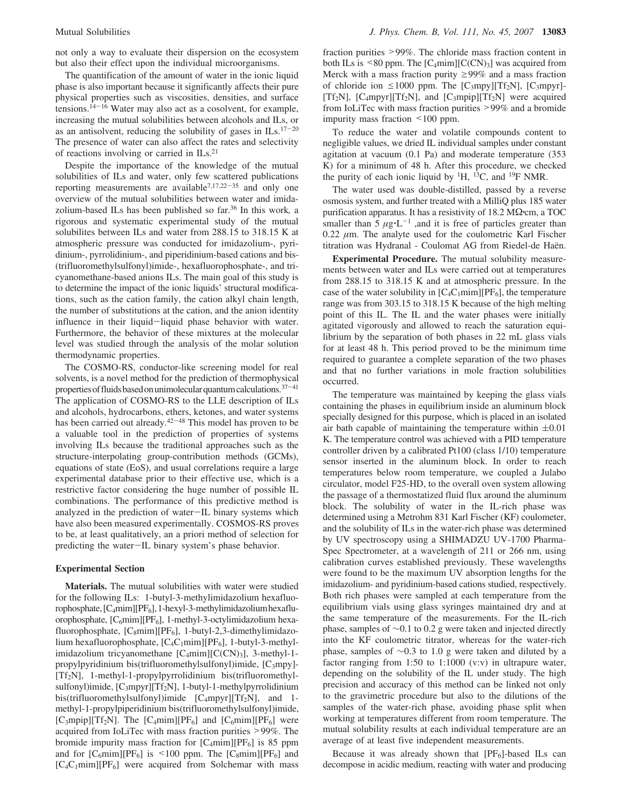not only a way to evaluate their dispersion on the ecosystem but also their effect upon the individual microorganisms.

The quantification of the amount of water in the ionic liquid phase is also important because it significantly affects their pure physical properties such as viscosities, densities, and surface tensions.<sup>14</sup>-<sup>16</sup> Water may also act as a cosolvent, for example, increasing the mutual solubilities between alcohols and ILs, or as an antisolvent, reducing the solubility of gases in  $ILs.17-20$ The presence of water can also affect the rates and selectivity of reactions involving or carried in ILs.<sup>21</sup>

Despite the importance of the knowledge of the mutual solubilities of ILs and water, only few scattered publications reporting measurements are available<sup>7,17,22-35</sup> and only one overview of the mutual solubilities between water and imidazolium-based ILs has been published so far.<sup>36</sup> In this work*,* a rigorous and systematic experimental study of the mutual solubilites between ILs and water from 288.15 to 318.15 K at atmospheric pressure was conducted for imidazolium-, pyridinium-, pyrrolidinium-, and piperidinium-based cations and bis- (trifluoromethylsulfonyl)imide-, hexafluorophosphate-, and tricyanomethane-based anions ILs. The main goal of this study is to determine the impact of the ionic liquids' structural modifications, such as the cation family, the cation alkyl chain length, the number of substitutions at the cation, and the anion identity influence in their liquid-liquid phase behavior with water. Furthermore, the behavior of these mixtures at the molecular level was studied through the analysis of the molar solution thermodynamic properties.

The COSMO-RS, conductor-like screening model for real solvents, is a novel method for the prediction of thermophysical properties of fluids based on unimolecular quantum calculations.  $37-41$ The application of COSMO-RS to the LLE description of ILs and alcohols, hydrocarbons, ethers, ketones, and water systems has been carried out already.<sup>42-48</sup> This model has proven to be a valuable tool in the prediction of properties of systems involving ILs because the traditional approaches such as the structure-interpolating group-contribution methods (GCMs), equations of state (EoS), and usual correlations require a large experimental database prior to their effective use, which is a restrictive factor considering the huge number of possible IL combinations. The performance of this predictive method is analyzed in the prediction of water-IL binary systems which have also been measured experimentally. COSMOS-RS proves to be, at least qualitatively, an a priori method of selection for predicting the water-IL binary system's phase behavior.

## **Experimental Section**

**Materials.** The mutual solubilities with water were studied for the following ILs: 1-butyl-3-methylimidazolium hexafluorophosphate,  $[C_4$ mim][PF<sub>6</sub>], 1-hexyl-3-methylimidazolium hexafluorophosphate, [C<sub>6</sub>mim][PF<sub>6</sub>], 1-methyl-3-octylimidazolium hexafluorophosphate, [C<sub>8</sub>mim][PF<sub>6</sub>], 1-butyl-2,3-dimethylimidazolium hexafluorophosphate, [C<sub>4</sub>C<sub>1</sub>mim][PF<sub>6</sub>], 1-butyl-3-methylimidazolium tricyanomethane  $[C_4mim][C(CN)_3]$ , 3-methyl-1propylpyridinium bis(trifluoromethylsulfonyl)imide,  $[C_3mpy]$ -[Tf<sub>2</sub>N], 1-methyl-1-propylpyrrolidinium bis(trifluoromethylsulfonyl)imide,  $[C_3mpyr][Tf_2N]$ , 1-butyl-1-methylpyrrolidinium bis(trifluoromethylsulfonyl)imide  $[C_4mpyr][Tf_2N]$ , and 1methyl-1-propylpiperidinium bis(trifluoromethylsulfonyl)imide, [C<sub>3</sub>mpip][Tf<sub>2</sub>N]. The [C<sub>4</sub>mim][PF<sub>6</sub>] and [C<sub>6</sub>mim][PF<sub>6</sub>] were acquired from IoLiTec with mass fraction purities >99%. The bromide impurity mass fraction for  $[C_4 \text{min}][PF_6]$  is 85 ppm and for  $[C_6mim][PF_6]$  is  $\leq 100$  ppm. The  $[C_8mim][PF_6]$  and  $[C_4C_1mim][PF_6]$  were acquired from Solchemar with mass

fraction purities >99%. The chloride mass fraction content in both ILs is  $\leq 80$  ppm. The [C<sub>4</sub>mim][C(CN)<sub>3</sub>] was acquired from Merck with a mass fraction purity  $\geq 99\%$  and a mass fraction of chloride ion  $\leq 1000$  ppm. The [C<sub>3</sub>mpy][Tf<sub>2</sub>N], [C<sub>3</sub>mpyr]-[Tf<sub>2</sub>N], [C<sub>4</sub>mpyr][Tf<sub>2</sub>N], and [C<sub>3</sub>mpip][Tf<sub>2</sub>N] were acquired from IoLiTec with mass fraction purities >99% and a bromide impurity mass fraction <100 ppm.

To reduce the water and volatile compounds content to negligible values, we dried IL individual samples under constant agitation at vacuum (0.1 Pa) and moderate temperature (353 K) for a minimum of 48 h. After this procedure, we checked the purity of each ionic liquid by  ${}^{1}H$ ,  ${}^{13}C$ , and  ${}^{19}F$  NMR.

The water used was double-distilled, passed by a reverse osmosis system, and further treated with a MilliQ plus 185 water purification apparatus. It has a resistivity of 18.2 MΩ·cm, a TOC smaller than  $5 \mu g \cdot L^{-1}$ , and it is free of particles greater than  $0.22 \mu$ m. The analyte used for the coulometric Karl Fischer titration was Hydranal - Coulomat AG from Riedel-de Haën.

**Experimental Procedure.** The mutual solubility measurements between water and ILs were carried out at temperatures from 288.15 to 318.15 K and at atmospheric pressure. In the case of the water solubility in  $[C_4C_1mim][PF_6]$ , the temperature range was from 303.15 to 318.15 K because of the high melting point of this IL. The IL and the water phases were initially agitated vigorously and allowed to reach the saturation equilibrium by the separation of both phases in 22 mL glass vials for at least 48 h. This period proved to be the minimum time required to guarantee a complete separation of the two phases and that no further variations in mole fraction solubilities occurred.

The temperature was maintained by keeping the glass vials containing the phases in equilibrium inside an aluminum block specially designed for this purpose, which is placed in an isolated air bath capable of maintaining the temperature within  $\pm 0.01$ K. The temperature control was achieved with a PID temperature controller driven by a calibrated Pt100 (class 1/10) temperature sensor inserted in the aluminum block. In order to reach temperatures below room temperature, we coupled a Julabo circulator, model F25-HD, to the overall oven system allowing the passage of a thermostatized fluid flux around the aluminum block. The solubility of water in the IL-rich phase was determined using a Metrohm 831 Karl Fischer (KF) coulometer, and the solubility of ILs in the water-rich phase was determined by UV spectroscopy using a SHIMADZU UV-1700 Pharma-Spec Spectrometer, at a wavelength of 211 or 266 nm, using calibration curves established previously. These wavelengths were found to be the maximum UV absorption lengths for the imidazolium- and pyridinium-based cations studied, respectively. Both rich phases were sampled at each temperature from the equilibrium vials using glass syringes maintained dry and at the same temperature of the measurements. For the IL-rich phase, samples of ∼0.1 to 0.2 g were taken and injected directly into the KF coulometric titrator, whereas for the water-rich phase, samples of ∼0.3 to 1.0 g were taken and diluted by a factor ranging from 1:50 to 1:1000 (v:v) in ultrapure water, depending on the solubility of the IL under study. The high precision and accuracy of this method can be linked not only to the gravimetric procedure but also to the dilutions of the samples of the water-rich phase, avoiding phase split when working at temperatures different from room temperature. The mutual solubility results at each individual temperature are an average of at least five independent measurements.

Because it was already shown that  $[PF_6]$ -based ILs can decompose in acidic medium, reacting with water and producing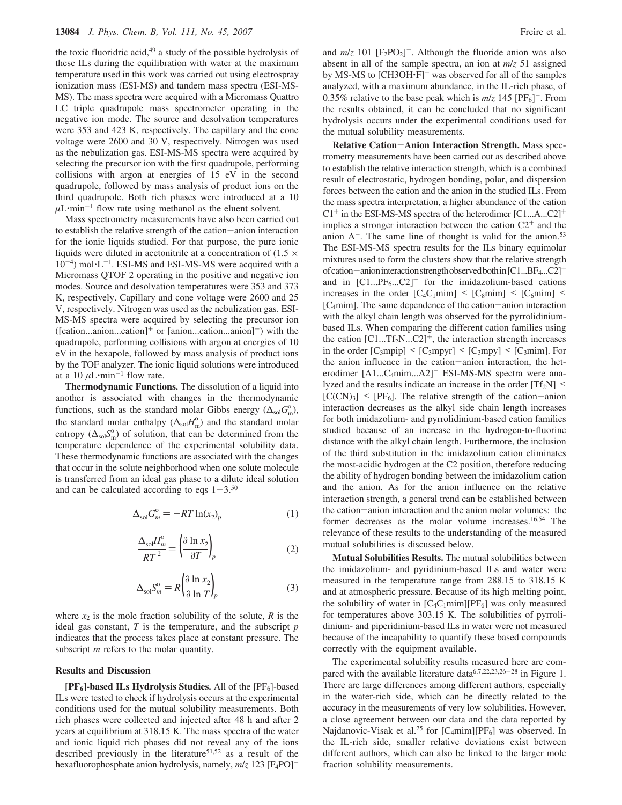the toxic fluoridric acid, $49$  a study of the possible hydrolysis of these ILs during the equilibration with water at the maximum temperature used in this work was carried out using electrospray ionization mass (ESI-MS) and tandem mass spectra (ESI-MS-MS). The mass spectra were acquired with a Micromass Quattro LC triple quadrupole mass spectrometer operating in the negative ion mode. The source and desolvation temperatures were 353 and 423 K, respectively. The capillary and the cone voltage were 2600 and 30 V, respectively. Nitrogen was used as the nebulization gas. ESI-MS-MS spectra were acquired by selecting the precursor ion with the first quadrupole, performing collisions with argon at energies of 15 eV in the second quadrupole, followed by mass analysis of product ions on the third quadrupole. Both rich phases were introduced at a 10  $\mu L$ ·min<sup>-1</sup> flow rate using methanol as the eluent solvent.

Mass spectrometry measurements have also been carried out to establish the relative strength of the cation-anion interaction for the ionic liquids studied. For that purpose, the pure ionic liquids were diluted in acetonitrile at a concentration of (1.5  $\times$  $10^{-4}$ ) mol·L<sup>-1</sup>. ESI-MS and ESI-MS-MS were acquired with a Micromass QTOF 2 operating in the positive and negative ion modes. Source and desolvation temperatures were 353 and 373 K, respectively. Capillary and cone voltage were 2600 and 25 V, respectively. Nitrogen was used as the nebulization gas. ESI-MS-MS spectra were acquired by selecting the precursor ion  $([cation...anion...cation]<sup>+</sup>$  or  $[anion...cation.com]<sup>-</sup>$  with the quadrupole, performing collisions with argon at energies of 10 eV in the hexapole, followed by mass analysis of product ions by the TOF analyzer. The ionic liquid solutions were introduced at a 10  $\mu$ L·min<sup>-1</sup> flow rate.

**Thermodynamic Functions.** The dissolution of a liquid into another is associated with changes in the thermodynamic functions, such as the standard molar Gibbs energy ( $\Delta_{sol} G_m^{\circ}$ ), the standard molar enthalpy  $(\Delta_{sol}H_m^o)$  and the standard molar entropy ( $\Delta_{sol}S_m^{\circ}$ ) of solution, that can be determined from the temperature dependence of the experimental solubility data. These thermodynamic functions are associated with the changes that occur in the solute neighborhood when one solute molecule is transferred from an ideal gas phase to a dilute ideal solution and can be calculated according to eqs  $1-3.50$ 

$$
\Delta_{sol} G_m^{\circ} = -RT \ln(x_2)_p \tag{1}
$$

$$
\frac{\Delta_{sol}H_m^o}{RT^2} = \left(\frac{\partial \ln x_2}{\partial T}\right)_p\tag{2}
$$

$$
\Delta_{sol} S_m^{\rm o} = R \left( \frac{\partial \ln x_2}{\partial \ln T} \right)_p \tag{3}
$$

where  $x_2$  is the mole fraction solubility of the solute,  $R$  is the ideal gas constant, *T* is the temperature, and the subscript *p* indicates that the process takes place at constant pressure. The subscript *m* refers to the molar quantity.

## **Results and Discussion**

**[PF6]-based ILs Hydrolysis Studies.** All of the [PF6]-based ILs were tested to check if hydrolysis occurs at the experimental conditions used for the mutual solubility measurements. Both rich phases were collected and injected after 48 h and after 2 years at equilibrium at 318.15 K. The mass spectra of the water and ionic liquid rich phases did not reveal any of the ions described previously in the literature<sup>51,52</sup> as a result of the hexafluorophosphate anion hydrolysis, namely,  $m/z$  123 [F<sub>4</sub>PO]<sup>-</sup>

and  $m/z$  101  $[F_2PO_2]^-$ . Although the fluoride anion was also absent in all of the sample spectra, an ion at *m*/*z* 51 assigned by MS-MS to [CH3OH $\cdot$ F]<sup>-</sup> was observed for all of the samples analyzed, with a maximum abundance, in the IL-rich phase, of 0.35% relative to the base peak which is  $m/z$  145  $[PF_6]^-$ . From the results obtained, it can be concluded that no significant hydrolysis occurs under the experimental conditions used for the mutual solubility measurements.

**Relative Cation**-**Anion Interaction Strength.** Mass spectrometry measurements have been carried out as described above to establish the relative interaction strength, which is a combined result of electrostatic, hydrogen bonding, polar, and dispersion forces between the cation and the anion in the studied ILs. From the mass spectra interpretation, a higher abundance of the cation  $C1^+$  in the ESI-MS-MS spectra of the heterodimer  $[C1...A...C2]^+$ implies a stronger interaction between the cation  $C2<sup>+</sup>$  and the anion  $A^-$ . The same line of thought is valid for the anion.<sup>53</sup> The ESI-MS-MS spectra results for the ILs binary equimolar mixtures used to form the clusters show that the relative strength of cation-anion interaction strength observed both in [C1...BF<sub>4</sub>...C2]<sup>+</sup> and in  $[C1...PF_6...C2]^+$  for the imidazolium-based cations increases in the order  $[C_4C_1mim] < [C_8mim] <$ [C4mim]. The same dependence of the cation-anion interaction with the alkyl chain length was observed for the pyrrolidiniumbased ILs. When comparing the different cation families using the cation  $[C1...Tf_2N...C2]^+$ , the interaction strength increases in the order  $[C_3mpip] \leq [C_3mpyr] \leq [C_3mpy] \leq [C_3min]$ . For the anion influence in the cation-anion interaction, the heterodimer [A1...C<sub>4</sub>mim...A2]<sup>-</sup> ESI-MS-MS spectra were analyzed and the results indicate an increase in the order  $[Tf_2N]$  <  $[C(CN)<sub>3</sub>]$  < [PF<sub>6</sub>]. The relative strength of the cation-anion interaction decreases as the alkyl side chain length increases for both imidazolium- and pyrrolidinium-based cation families studied because of an increase in the hydrogen-to-fluorine distance with the alkyl chain length. Furthermore, the inclusion of the third substitution in the imidazolium cation eliminates the most-acidic hydrogen at the C2 position, therefore reducing the ability of hydrogen bonding between the imidazolium cation and the anion. As for the anion influence on the relative interaction strength, a general trend can be established between the cation-anion interaction and the anion molar volumes: the former decreases as the molar volume increases.16,54 The relevance of these results to the understanding of the measured mutual solubilities is discussed below.

**Mutual Solubilities Results.** The mutual solubilities between the imidazolium- and pyridinium-based ILs and water were measured in the temperature range from 288.15 to 318.15 K and at atmospheric pressure. Because of its high melting point, the solubility of water in  $[C_4C_1mim][PF_6]$  was only measured for temperatures above 303.15 K. The solubilities of pyrrolidinium- and piperidinium-based ILs in water were not measured because of the incapability to quantify these based compounds correctly with the equipment available.

The experimental solubility results measured here are compared with the available literature data<sup>6,7,22,23,26-28</sup> in Figure 1. There are large differences among different authors, especially in the water-rich side, which can be directly related to the accuracy in the measurements of very low solubilities. However, a close agreement between our data and the data reported by Najdanovic-Visak et al.<sup>25</sup> for [C<sub>4</sub>mim][PF<sub>6</sub>] was observed. In the IL-rich side, smaller relative deviations exist between different authors, which can also be linked to the larger mole fraction solubility measurements.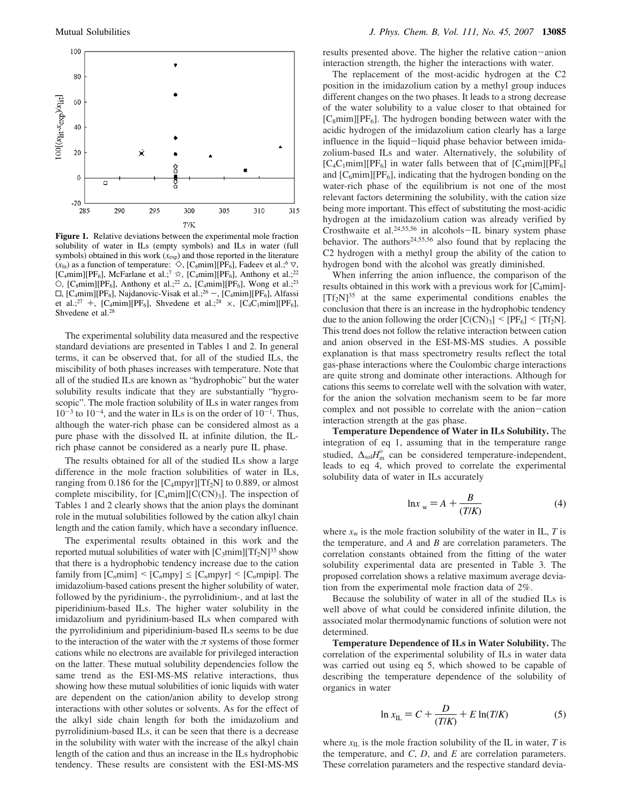

**Figure 1.** Relative deviations between the experimental mole fraction solubility of water in ILs (empty symbols) and ILs in water (full symbols) obtained in this work  $(x_{exp})$  and those reported in the literature  $(x_{\text{lit}})$  as a function of temperature:  $\diamondsuit$ , [C<sub>8</sub>mim][PF<sub>6</sub>], Fadeev et al.;<sup>6</sup>  $\nabla$ , [C<sub>4</sub>mim][PF<sub>6</sub>], McFarlane et al.;<sup>7</sup>  $\propto$ , [C<sub>4</sub>mim][PF<sub>6</sub>], Anthony et al.;<sup>22</sup> O,  $[C_8 \text{mim}][PF_6]$ , Anthony et al.;<sup>22</sup>  $\triangle$ ,  $[C_4 \text{mim}][PF_6]$ , Wong et al.;<sup>23</sup>  $\Box$ , [C<sub>4</sub>mim][PF<sub>6</sub>], Najdanovic-Visak et al.;<sup>26</sup> -, [C<sub>4</sub>mim][PF<sub>6</sub>], Alfassi et al.;<sup>27</sup> +, [C<sub>4</sub>mim][PF<sub>6</sub>], Shvedene et al.;<sup>28</sup> ×, [C<sub>4</sub>C<sub>1</sub>mim][PF<sub>6</sub>], Shvedene et al.<sup>28</sup>

The experimental solubility data measured and the respective standard deviations are presented in Tables 1 and 2. In general terms, it can be observed that, for all of the studied ILs, the miscibility of both phases increases with temperature. Note that all of the studied ILs are known as "hydrophobic" but the water solubility results indicate that they are substantially "hygroscopic". The mole fraction solubility of ILs in water ranges from  $10^{-3}$  to  $10^{-4}$ , and the water in ILs is on the order of  $10^{-1}$ . Thus, although the water-rich phase can be considered almost as a pure phase with the dissolved IL at infinite dilution, the ILrich phase cannot be considered as a nearly pure IL phase.

The results obtained for all of the studied ILs show a large difference in the mole fraction solubilities of water in ILs, ranging from 0.186 for the  $[C_4mpyr][Tf_2N]$  to 0.889, or almost complete miscibility, for  $[C_4mim][C(CN)_3]$ . The inspection of Tables 1 and 2 clearly shows that the anion plays the dominant role in the mutual solubilities followed by the cation alkyl chain length and the cation family, which have a secondary influence.

The experimental results obtained in this work and the reported mutual solubilities of water with  $[C_3$ mim][Tf<sub>2</sub>N]<sup>35</sup> show that there is a hydrophobic tendency increase due to the cation family from  $[C_nmin] \leq [C_nmpy] \leq [C_nmpy] \leq [C_nmpip]$ . The imidazolium-based cations present the higher solubility of water, followed by the pyridinium-, the pyrrolidinium-, and at last the piperidinium-based ILs. The higher water solubility in the imidazolium and pyridinium-based ILs when compared with the pyrrolidinium and piperidinium-based ILs seems to be due to the interaction of the water with the  $\pi$  systems of those former cations while no electrons are available for privileged interaction on the latter. These mutual solubility dependencies follow the same trend as the ESI-MS-MS relative interactions, thus showing how these mutual solubilities of ionic liquids with water are dependent on the cation/anion ability to develop strong interactions with other solutes or solvents. As for the effect of the alkyl side chain length for both the imidazolium and pyrrolidinium-based ILs, it can be seen that there is a decrease in the solubility with water with the increase of the alkyl chain length of the cation and thus an increase in the ILs hydrophobic tendency. These results are consistent with the ESI-MS-MS

results presented above. The higher the relative cation-anion interaction strength, the higher the interactions with water.

The replacement of the most-acidic hydrogen at the C2 position in the imidazolium cation by a methyl group induces different changes on the two phases. It leads to a strong decrease of the water solubility to a value closer to that obtained for  $[C_8min][PF_6]$ . The hydrogen bonding between water with the acidic hydrogen of the imidazolium cation clearly has a large influence in the liquid-liquid phase behavior between imidazolium-based ILs and water. Alternatively, the solubility of  $[C_4C_1mim][PF_6]$  in water falls between that of  $[C_4mim][PF_6]$ and  $[C_6$ mim][PF $_6$ ], indicating that the hydrogen bonding on the water-rich phase of the equilibrium is not one of the most relevant factors determining the solubility, with the cation size being more important. This effect of substituting the most-acidic hydrogen at the imidazolium cation was already verified by Crosthwaite et al.24,55,56 in alcohols-IL binary system phase behavior. The authors<sup>24,55,56</sup> also found that by replacing the C2 hydrogen with a methyl group the ability of the cation to hydrogen bond with the alcohol was greatly diminished.

When inferring the anion influence, the comparison of the results obtained in this work with a previous work for  $[C_4$ mim]- $[Tf_2N]^{35}$  at the same experimental conditions enables the conclusion that there is an increase in the hydrophobic tendency due to the anion following the order  $[{\rm C(CN)}_3] \leq [{\rm PF}_6] \leq [{\rm TF}_2]$ . This trend does not follow the relative interaction between cation and anion observed in the ESI-MS-MS studies. A possible explanation is that mass spectrometry results reflect the total gas-phase interactions where the Coulombic charge interactions are quite strong and dominate other interactions. Although for cations this seems to correlate well with the solvation with water, for the anion the solvation mechanism seem to be far more complex and not possible to correlate with the anion-cation interaction strength at the gas phase.

**Temperature Dependence of Water in ILs Solubility.** The integration of eq 1, assuming that in the temperature range studied,  $\Delta_{sol}H_m^o$  can be considered temperature-independent, leads to eq 4, which proved to correlate the experimental solubility data of water in ILs accurately

$$
\ln x_{\rm w} = A + \frac{B}{(T/K)}\tag{4}
$$

where  $x_w$  is the mole fraction solubility of the water in IL,  $T$  is the temperature, and *A* and *B* are correlation parameters. The correlation constants obtained from the fitting of the water solubility experimental data are presented in Table 3. The proposed correlation shows a relative maximum average deviation from the experimental mole fraction data of 2%.

Because the solubility of water in all of the studied ILs is well above of what could be considered infinite dilution, the associated molar thermodynamic functions of solution were not determined.

**Temperature Dependence of ILs in Water Solubility.** The correlation of the experimental solubility of ILs in water data was carried out using eq 5, which showed to be capable of describing the temperature dependence of the solubility of organics in water

$$
\ln x_{\rm IL} = C + \frac{D}{(T/K)} + E \ln(T/K) \tag{5}
$$

where  $x_{\text{IL}}$  is the mole fraction solubility of the IL in water, *T* is the temperature, and *C*, *D*, and *E* are correlation parameters. These correlation parameters and the respective standard devia-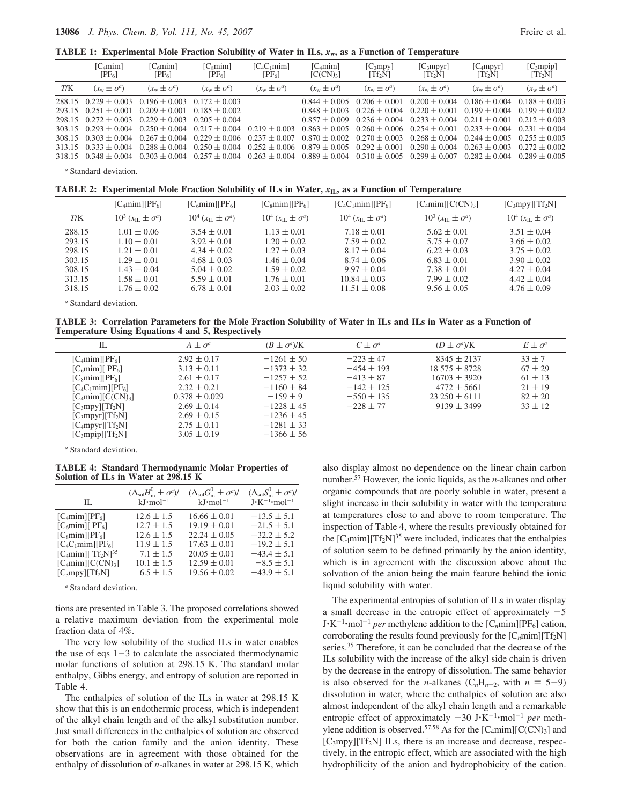**TABLE 1: Experimental Mole Fraction Solubility of Water in ILs,** *x***w, as a Function of Temperature**

| Freire e |  |
|----------|--|
|          |  |

|     | $[C_4min]$<br>$[PF_6]$         | [C <sub>6</sub> min]<br>$[PF_6]$ | [C <sub>8</sub> min]<br>$[PF_6]$ | $[C_4C_1mim]$<br>$[PF_6]$ | [C <sub>4</sub> min]<br>[C(CN) <sub>3</sub> ] | [C <sub>3</sub> mpy]<br>$[Tf_2N]$ | [C <sub>3</sub> mpyr]<br>$[Tf_2N]$ | $[C_4mpyr]$<br>$[Tf_2N]$ | $[C_3mpip]$<br>$[Tf_2N]$ |
|-----|--------------------------------|----------------------------------|----------------------------------|---------------------------|-----------------------------------------------|-----------------------------------|------------------------------------|--------------------------|--------------------------|
| T/K | $(x_w \pm \sigma^a)$           | $(x_w \pm \sigma^a)$             | $(x_w \pm \sigma^a)$             | $(x_w \pm \sigma^a)$      | $(x_w \pm \sigma^a)$                          | $(x_w \pm \sigma^a)$              | $(x_w \pm \sigma^a)$               | $(x_w \pm \sigma^a)$     | $(x_w \pm \sigma^a)$     |
|     | $288.15$ 0.229 + 0.003         | $0.196 \pm 0.003$                | $0.172 + 0.003$                  |                           | $0.844 + 0.005$                               | $0.206 + 0.001$                   | $0.200 + 0.004$                    | $0.186 + 0.004$          | $0.188 + 0.003$          |
|     | $293.15 \quad 0.251 \pm 0.001$ | $0.209 + 0.001$                  | $0.185 + 0.002$                  |                           | $0.848 + 0.003$                               | $0.226 \pm 0.004$                 | $0.220 + 0.001$                    | $0.199 + 0.004$          | $0.199 + 0.002$          |
|     | $298.15$ $0.272 + 0.003$       | $0.229 \pm 0.003$                | $0.205 + 0.004$                  |                           | $0.857 + 0.009$                               | $0.236 + 0.004$                   | $0.233 + 0.004$                    | $0.211 + 0.001$          | $0.212 + 0.003$          |
|     | $303.15$ $0.293 + 0.004$       | $0.250 + 0.004$                  | $0.217 + 0.004$                  | $0.219 + 0.003$           | $0.863 + 0.005$                               | $0.260 + 0.006$                   | $0.254 + 0.001$                    | $0.233 + 0.004$          | $0.231 + 0.004$          |
|     | $308.15 \quad 0.303 + 0.004$   | $0.267 + 0.004$                  | $0.229 + 0.006$                  | $0.237 \pm 0.007$         | $0.870 + 0.002$                               | $0.270 + 0.003$                   | $0.268 + 0.004$                    | $0.244 + 0.005$          | $0.255 + 0.005$          |
|     | $313.15$ $0.333 + 0.004$       | $0.288 + 0.004$                  | $0.250 + 0.004$                  | $0.252 \pm 0.006$         | $0.879 + 0.005$                               | $0.292 + 0.001$                   | $0.290 + 0.004$                    | $0.263 + 0.003$          | $0.272 + 0.002$          |
|     | $318.15$ $0.348 + 0.004$       | $0.303 + 0.004$                  | $0.257 + 0.004$                  | $0.263 + 0.004$           | $0.889 + 0.004$                               | $0.310 + 0.005$                   | $0.299 + 0.007$                    | $0.282 + 0.004$          | $0.289 + 0.005$          |
|     |                                |                                  |                                  |                           |                                               |                                   |                                    |                          |                          |

*<sup>a</sup>* Standard deviation.

**TABLE 2: Experimental Mole Fraction Solubility of ILs in Water,** *x***IL, as a Function of Temperature**

|        | $[C_4min][PF_6]$                         | [C <sub>6</sub> min][PF <sub>6</sub> ] | [C <sub>8</sub> min][PF <sub>6</sub> ] | $[C_4C_1min][PF_6]$             | $[C_4min][C(CN)3]$                       | [C <sub>3</sub> mpy][Tf <sub>2</sub> N]  |
|--------|------------------------------------------|----------------------------------------|----------------------------------------|---------------------------------|------------------------------------------|------------------------------------------|
| T/K    | $10^3$ (x <sub>II</sub> $\pm \sigma^a$ ) | $10^4 (x_{\rm H} \pm \sigma^a)$        | $10^4 (x_{\rm H} \pm \sigma^a)$        | $10^4 (x_{\rm H} \pm \sigma^a)$ | $10^3$ (x <sub>II</sub> $\pm \sigma^a$ ) | $10^4$ (x <sub>II</sub> $\pm \sigma^a$ ) |
| 288.15 | $1.01 \pm 0.06$                          | $3.54 \pm 0.01$                        | $1.13 \pm 0.01$                        | $7.18 \pm 0.01$                 | $5.62 \pm 0.01$                          | $3.51 \pm 0.04$                          |
| 293.15 | $1.10 \pm 0.01$                          | $3.92 \pm 0.01$                        | $1.20 \pm 0.02$                        | $7.59 \pm 0.02$                 | $5.75 \pm 0.07$                          | $3.66 \pm 0.02$                          |
| 298.15 | $1.21 + 0.01$                            | $4.34 \pm 0.02$                        | $1.27 \pm 0.03$                        | $8.17 \pm 0.04$                 | $6.22 \pm 0.03$                          | $3.75 \pm 0.02$                          |
| 303.15 | $1.29 + 0.01$                            | $4.68 \pm 0.03$                        | $1.46 \pm 0.04$                        | $8.74 \pm 0.06$                 | $6.83 \pm 0.01$                          | $3.90 \pm 0.02$                          |
| 308.15 | $1.43 \pm 0.04$                          | $5.04 \pm 0.02$                        | $1.59 \pm 0.02$                        | $9.97 \pm 0.04$                 | $7.38 \pm 0.01$                          | $4.27 \pm 0.04$                          |
| 313.15 | $1.58 + 0.01$                            | $5.59 \pm 0.01$                        | $1.76 \pm 0.01$                        | $10.84 \pm 0.03$                | $7.99 \pm 0.02$                          | $4.42 \pm 0.04$                          |
| 318.15 | $1.76 \pm 0.02$                          | $6.78 \pm 0.01$                        | $2.03 \pm 0.02$                        | $11.51 \pm 0.08$                | $9.56 \pm 0.05$                          | $4.76 \pm 0.09$                          |

*<sup>a</sup>* Standard deviation.

**TABLE 3: Correlation Parameters for the Mole Fraction Solubility of Water in ILs and ILs in Water as a Function of Temperature Using Equations 4 and 5, Respectively**

| IL                                       | $A \pm \sigma^a$  | $(B \pm \sigma^a)/K$ | $C \pm \sigma^a$ | $(D \pm \sigma^a)$ /K | $E \pm \sigma^a$ |
|------------------------------------------|-------------------|----------------------|------------------|-----------------------|------------------|
| $[C_4min][PF_6]$                         | $2.92 \pm 0.17$   | $-1261 \pm 50$       | $-223 \pm 47$    | $8345 \pm 2137$       | $33 + 7$         |
| [C <sub>6</sub> min][PF <sub>6</sub> ]   | $3.13 \pm 0.11$   | $-1373 \pm 32$       | $-454 \pm 193$   | $18.575 \pm 8728$     | $67 + 29$        |
| [C <sub>8</sub> min][PF <sub>6</sub> ]   | $2.61 \pm 0.17$   | $-1257 \pm 52$       | $-413 \pm 87$    | $16703 \pm 3920$      | $61 \pm 13$      |
| $[C_4C_1min][PF_6]$                      | $2.32 \pm 0.21$   | $-1160 \pm 84$       | $-142 \pm 125$   | $4772 \pm 5661$       | $21 \pm 19$      |
| $[C_4min][C(CN)3]$                       | $0.378 \pm 0.029$ | $-159 + 9$           | $-550 \pm 135$   | $23\,250 \pm 6111$    | $82 \pm 20$      |
| [C <sub>3</sub> mpy][Tf <sub>2</sub> N]  | $2.69 \pm 0.14$   | $-1228 \pm 45$       | $-228 \pm 77$    | $9139 \pm 3499$       | $33 + 12$        |
| [C <sub>3</sub> mpyr][Tf <sub>2</sub> N] | $2.69 \pm 0.15$   | $-1236 \pm 45$       |                  |                       |                  |
| $[C_4mpyr][Tf_2N]$                       | $2.75 \pm 0.11$   | $-1281 \pm 33$       |                  |                       |                  |
| $[C_3mpip][Tf_2N]$                       | $3.05 \pm 0.19$   | $-1366 \pm 56$       |                  |                       |                  |

*<sup>a</sup>* Standard deviation.

**TABLE 4: Standard Thermodynamic Molar Properties of Solution of ILs in Water at 298.15 K**

| $\Pi$ .                                       | $(\Delta_{sol}H_m^0\pm\sigma^a)$ /<br>$kJ \cdot mol^{-1}$ | $(\Delta_{sol}G_{\rm m}^0\pm\sigma^a)$ /<br>$kJ$ -mol <sup>-1</sup> | $(\Delta_{sol}S_m^0 \pm \sigma^a)/$<br>$J \cdot K^{-1} \cdot mol^{-1}$ |
|-----------------------------------------------|-----------------------------------------------------------|---------------------------------------------------------------------|------------------------------------------------------------------------|
| $[C_4min][PF_6]$                              | $12.6 \pm 1.5$                                            | $16.66 \pm 0.01$                                                    | $-13.5 \pm 5.1$                                                        |
| [C <sub>6</sub> min][PF <sub>6</sub> ]        | $12.7 \pm 1.5$                                            | $19.19 \pm 0.01$                                                    | $-21.5 \pm 5.1$                                                        |
| [C <sub>s</sub> min][PF <sub>6</sub> ]        | $12.6 \pm 1.5$                                            | $22.24 \pm 0.05$                                                    | $-32.2 \pm 5.2$                                                        |
| $[C_4C_1min][PF_6]$                           | $11.9 \pm 1.5$                                            | $17.63 \pm 0.01$                                                    | $-19.2 \pm 5.1$                                                        |
| $[C_4mim]$ [ Tf <sub>2</sub> N] <sup>35</sup> | $7.1 \pm 1.5$                                             | $20.05 \pm 0.01$                                                    | $-43.4 \pm 5.1$                                                        |
| $[C_4min][C(CN)3]$                            | $10.1 \pm 1.5$                                            | $12.59 \pm 0.01$                                                    | $-8.5 \pm 5.1$                                                         |
| [C <sub>3</sub> mpy][Tf <sub>2</sub> N]       | $6.5 \pm 1.5$                                             | $19.56 \pm 0.02$                                                    | $-43.9 \pm 5.1$                                                        |

*<sup>a</sup>* Standard deviation.

tions are presented in Table 3. The proposed correlations showed a relative maximum deviation from the experimental mole fraction data of 4%.

The very low solubility of the studied ILs in water enables the use of eqs  $1-3$  to calculate the associated thermodynamic molar functions of solution at 298.15 K. The standard molar enthalpy, Gibbs energy, and entropy of solution are reported in Table 4.

The enthalpies of solution of the ILs in water at 298.15 K show that this is an endothermic process, which is independent of the alkyl chain length and of the alkyl substitution number. Just small differences in the enthalpies of solution are observed for both the cation family and the anion identity. These observations are in agreement with those obtained for the enthalpy of dissolution of *n*-alkanes in water at 298.15 K, which

also display almost no dependence on the linear chain carbon number.<sup>57</sup> However, the ionic liquids, as the *n*-alkanes and other organic compounds that are poorly soluble in water, present a slight increase in their solubility in water with the temperature at temperatures close to and above to room temperature. The inspection of Table 4, where the results previously obtained for the  $[C_4mim][Tf_2N]^{35}$  were included, indicates that the enthalpies of solution seem to be defined primarily by the anion identity, which is in agreement with the discussion above about the solvation of the anion being the main feature behind the ionic liquid solubility with water.

The experimental entropies of solution of ILs in water display a small decrease in the entropic effect of approximately  $-5$  $J \cdot K^{-1} \cdot \text{mol}^{-1}$  *per* methylene addition to the [C<sub>n</sub>mim][PF<sub>6</sub>] cation, corroborating the results found previously for the  $[C_nmin][Tf_2N]$ series.<sup>35</sup> Therefore, it can be concluded that the decrease of the ILs solubility with the increase of the alkyl side chain is driven by the decrease in the entropy of dissolution. The same behavior is also observed for the *n*-alkanes  $(C_nH_{n+2}$ , with  $n = 5-9$ ) dissolution in water, where the enthalpies of solution are also almost independent of the alkyl chain length and a remarkable entropic effect of approximately  $-30 \text{ J} \cdot \text{K}^{-1} \cdot \text{mol}^{-1}$  *per* methylene addition is observed.<sup>57,58</sup> As for the  $[C_4$ mim][C(CN)<sub>3</sub>] and  $[C_3mpy][Tf_2N]$  ILs, there is an increase and decrease, respectively, in the entropic effect, which are associated with the high hydrophilicity of the anion and hydrophobicity of the cation.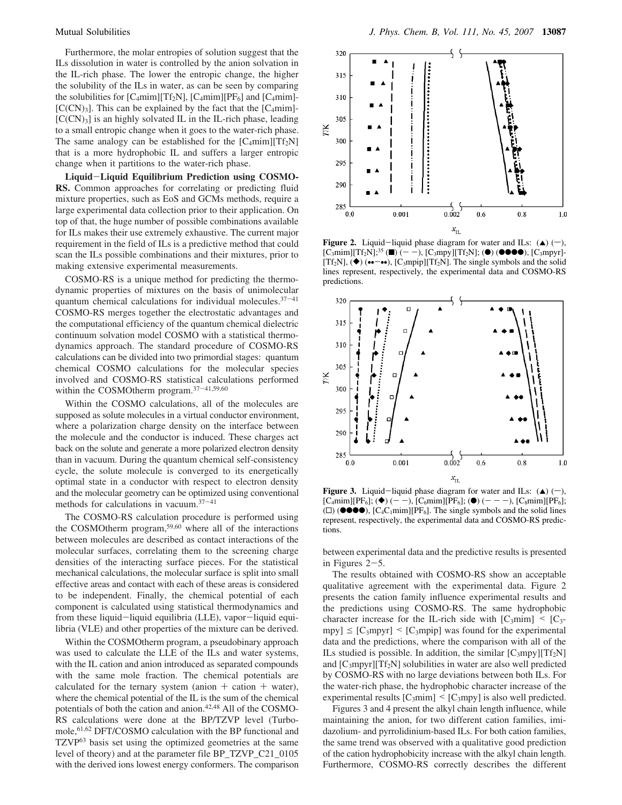Furthermore, the molar entropies of solution suggest that the ILs dissolution in water is controlled by the anion solvation in the IL-rich phase. The lower the entropic change, the higher the solubility of the ILs in water, as can be seen by comparing the solubilities for  $[C_4mim][Tf_2N]$ ,  $[C_4mim][PF_6]$  and  $[C_4mim]$ - $[C(CN)<sub>3</sub>]$ . This can be explained by the fact that the  $[C<sub>4</sub>min]$ - $[C(CN)<sub>3</sub>]$  is an highly solvated IL in the IL-rich phase, leading to a small entropic change when it goes to the water-rich phase. The same analogy can be established for the  $[C_4 \text{min}][Tf_2N]$ that is a more hydrophobic IL and suffers a larger entropic change when it partitions to the water-rich phase.

**Liquid**-**Liquid Equilibrium Prediction using COSMO-RS.** Common approaches for correlating or predicting fluid mixture properties, such as EoS and GCMs methods, require a large experimental data collection prior to their application. On top of that, the huge number of possible combinations available for ILs makes their use extremely exhaustive. The current major requirement in the field of ILs is a predictive method that could scan the ILs possible combinations and their mixtures, prior to making extensive experimental measurements.

COSMO-RS is a unique method for predicting the thermodynamic properties of mixtures on the basis of unimolecular quantum chemical calculations for individual molecules.<sup>37</sup>-<sup>41</sup> COSMO-RS merges together the electrostatic advantages and the computational efficiency of the quantum chemical dielectric continuum solvation model COSMO with a statistical thermodynamics approach. The standard procedure of COSMO-RS calculations can be divided into two primordial stages: quantum chemical COSMO calculations for the molecular species involved and COSMO-RS statistical calculations performed within the COSMOtherm program.<sup>37</sup>-41,59,60

Within the COSMO calculations, all of the molecules are supposed as solute molecules in a virtual conductor environment, where a polarization charge density on the interface between the molecule and the conductor is induced. These charges act back on the solute and generate a more polarized electron density than in vacuum. During the quantum chemical self-consistency cycle, the solute molecule is converged to its energetically optimal state in a conductor with respect to electron density and the molecular geometry can be optimized using conventional methods for calculations in vacuum.<sup>37</sup>-<sup>41</sup>

The COSMO-RS calculation procedure is performed using the COSMOtherm program,<sup>59,60</sup> where all of the interactions between molecules are described as contact interactions of the molecular surfaces, correlating them to the screening charge densities of the interacting surface pieces. For the statistical mechanical calculations, the molecular surface is split into small effective areas and contact with each of these areas is considered to be independent. Finally, the chemical potential of each component is calculated using statistical thermodynamics and from these liquid-liquid equilibria (LLE), vapor-liquid equilibria (VLE) and other properties of the mixture can be derived.

Within the COSMOtherm program, a pseudobinary approach was used to calculate the LLE of the ILs and water systems, with the IL cation and anion introduced as separated compounds with the same mole fraction. The chemical potentials are calculated for the ternary system (anion  $+$  cation  $+$  water), where the chemical potential of the IL is the sum of the chemical potentials of both the cation and anion.42,48 All of the COSMO-RS calculations were done at the BP/TZVP level (Turbomole,61,62 DFT/COSMO calculation with the BP functional and TZVP<sup>63</sup> basis set using the optimized geometries at the same level of theory) and at the parameter file BP\_TZVP\_C21\_0105 with the derived ions lowest energy conformers. The comparison



**Figure 2.** Liquid-liquid phase diagram for water and ILs:  $(\triangle)$  (-),  $[C_3min][Tf_2N];^{35}$  ( $\blacksquare$ ) (- -),  $[C_3mpy][Tf_2N]$ ; ( $\blacklozenge$ ) ( $\blacklozenge \blacklozenge$ ),  $[C_3mpyr]$ -[Tf<sub>2</sub>N], ( $\blacklozenge$ ) (••-••), [C<sub>3</sub>mpip][Tf<sub>2</sub>N]. The single symbols and the solid lines represent, respectively, the experimental data and COSMO-RS predictions.



**Figure 3.** Liquid-liquid phase diagram for water and ILs:  $(\triangle)$  (-),  $[C_4min][PF_6]$ ; ( $\blacklozenge$ ) (--),  $[C_6min][PF_6]$ ; ( $\blacklozenge$ ) (---),  $[C_8min][PF_6]$ ;  $(\Box)$  ( $\bullet \bullet \bullet \bullet$ ), [C<sub>4</sub>C<sub>1</sub>mim][PF<sub>6</sub>]. The single symbols and the solid lines represent, respectively, the experimental data and COSMO-RS predictions.

between experimental data and the predictive results is presented in Figures  $2-5$ .

The results obtained with COSMO-RS show an acceptable qualitative agreement with the experimental data. Figure 2 presents the cation family influence experimental results and the predictions using COSMO-RS. The same hydrophobic character increase for the IL-rich side with  $[C_3$ mim] <  $[C_3$  $mpy$ ]  $\leq$  [C<sub>3</sub>mpyr]  $\leq$  [C<sub>3</sub>mpip] was found for the experimental data and the predictions, where the comparison with all of the ILs studied is possible. In addition, the similar  $[C_3mpy][Tf_2N]$ and [C<sub>3</sub>mpyr][Tf<sub>2</sub>N] solubilities in water are also well predicted by COSMO-RS with no large deviations between both ILs. For the water-rich phase, the hydrophobic character increase of the experimental results  $[C_3mim] \leq [C_3mpy]$  is also well predicted.

Figures 3 and 4 present the alkyl chain length influence, while maintaining the anion, for two different cation families, imidazolium- and pyrrolidinium-based ILs. For both cation families, the same trend was observed with a qualitative good prediction of the cation hydrophobicity increase with the alkyl chain length. Furthermore, COSMO-RS correctly describes the different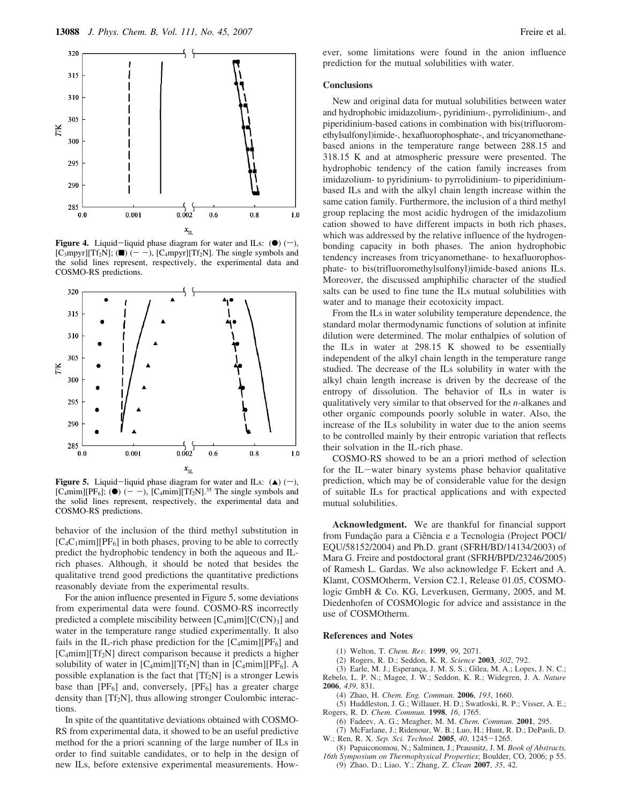

**Figure 4.** Liquid-liquid phase diagram for water and ILs:  $(\bullet)$  (-), [C<sub>3</sub>mpyr][Tf<sub>2</sub>N]; ( $\blacksquare$ ) (--), [C<sub>4</sub>mpyr][Tf<sub>2</sub>N]. The single symbols and the solid lines represent, respectively, the experimental data and COSMO-RS predictions.



**Figure 5.** Liquid-liquid phase diagram for water and ILs:  $(\triangle)$  (-), [C<sub>4</sub>mim][PF<sub>6</sub>]; ( $\bullet$ ) (- -), [C<sub>4</sub>mim][Tf<sub>2</sub>N].<sup>35</sup> The single symbols and the solid lines represent, respectively, the experimental data and COSMO-RS predictions.

behavior of the inclusion of the third methyl substitution in  $[C_4C_1mim][PF_6]$  in both phases, proving to be able to correctly predict the hydrophobic tendency in both the aqueous and ILrich phases. Although, it should be noted that besides the qualitative trend good predictions the quantitative predictions reasonably deviate from the experimental results.

For the anion influence presented in Figure 5, some deviations from experimental data were found. COSMO-RS incorrectly predicted a complete miscibility between  $[C_4min][C(CN)_3]$  and water in the temperature range studied experimentally. It also fails in the IL-rich phase prediction for the  $[C_4mim][PF_6]$  and [C<sub>4</sub>mim][Tf<sub>2</sub>N] direct comparison because it predicts a higher solubility of water in  $[C_4mim][Tf_2N]$  than in  $[C_4mim][PF_6]$ . A possible explanation is the fact that  $[Tf_2N]$  is a stronger Lewis base than  $[PF_6]$  and, conversely,  $[PF_6]$  has a greater charge density than [Tf<sub>2</sub>N], thus allowing stronger Coulombic interactions.

In spite of the quantitative deviations obtained with COSMO-RS from experimental data, it showed to be an useful predictive method for the a priori scanning of the large number of ILs in order to find suitable candidates, or to help in the design of new ILs, before extensive experimental measurements. However, some limitations were found in the anion influence prediction for the mutual solubilities with water.

### **Conclusions**

New and original data for mutual solubilities between water and hydrophobic imidazolium-, pyridinium-, pyrrolidinium-, and piperidinium-based cations in combination with bis(trifluoromethylsulfonyl)imide-, hexafluorophosphate-, and tricyanomethanebased anions in the temperature range between 288.15 and 318.15 K and at atmospheric pressure were presented. The hydrophobic tendency of the cation family increases from imidazolium- to pyridinium- to pyrrolidinium- to piperidiniumbased ILs and with the alkyl chain length increase within the same cation family. Furthermore, the inclusion of a third methyl group replacing the most acidic hydrogen of the imidazolium cation showed to have different impacts in both rich phases, which was addressed by the relative influence of the hydrogenbonding capacity in both phases. The anion hydrophobic tendency increases from tricyanomethane- to hexafluorophosphate- to bis(trifluoromethylsulfonyl)imide-based anions ILs. Moreover, the discussed amphiphilic character of the studied salts can be used to fine tune the ILs mutual solubilities with water and to manage their ecotoxicity impact.

From the ILs in water solubility temperature dependence, the standard molar thermodynamic functions of solution at infinite dilution were determined. The molar enthalpies of solution of the ILs in water at 298.15 K showed to be essentially independent of the alkyl chain length in the temperature range studied. The decrease of the ILs solubility in water with the alkyl chain length increase is driven by the decrease of the entropy of dissolution. The behavior of ILs in water is qualitatively very similar to that observed for the *n*-alkanes and other organic compounds poorly soluble in water. Also, the increase of the ILs solubility in water due to the anion seems to be controlled mainly by their entropic variation that reflects their solvation in the IL-rich phase.

COSMO-RS showed to be an a priori method of selection for the IL-water binary systems phase behavior qualitative prediction, which may be of considerable value for the design of suitable ILs for practical applications and with expected mutual solubilities.

**Acknowledgment.** We are thankful for financial support from Fundação para a Ciência e a Tecnologia (Project POCI/ EQU/58152/2004) and Ph.D. grant (SFRH/BD/14134/2003) of Mara G. Freire and postdoctoral grant (SFRH/BPD/23246/2005) of Ramesh L. Gardas. We also acknowledge F. Eckert and A. Klamt, COSMOtherm, Version C2.1, Release 01.05, COSMOlogic GmbH & Co. KG, Leverkusen, Germany, 2005, and M. Diedenhofen of COSMOlogic for advice and assistance in the use of COSMOtherm.

### **References and Notes**

- (1) Welton, T. *Chem. Re*V*.* **1999**, *99*, 2071.
- (2) Rogers, R. D.; Seddon, K. R. *Science* **2003**, *302*, 792.
- (3) Earle, M. J.; Esperança, J. M. S. S.; Gilea, M. A.; Lopes, J. N. C.;

Rebelo, L. P. N.; Magee, J. W.; Seddon, K. R.; Widegren, J. A. *Nature* **2006**, *439*, 831.

- (4) Zhao, H. *Chem. Eng. Commun.* **2006**, *193*, 1660.
- (5) Huddleston, J. G.; Willauer, H. D.; Swatloski, R. P.; Visser, A. E.;
- Rogers, R. D. *Chem. Commun.* **1998**, *16*, 1765. (6) Fadeev, A. G.; Meagher, M. M. *Chem. Commun.* **2001**, 295.
	- (7) McFarlane, J.; Ridenour, W. B.; Luo, H.; Hunt, R. D.; DePaoli, D.
- W.; Ren, R. X. *Sep. Sci. Technol.* **2005**, *40*, 1245-1265. (8) Papaiconomou, N.; Salminen, J.; Prausnitz, J. M. *Book of Abstracts,*
- *16th Symposium on Thermophysical Properties*; Boulder, CO, 2006; p 55. (9) Zhao, D.; Liao, Y.; Zhang, Z. *Clean* **2007**, *35*, 42.